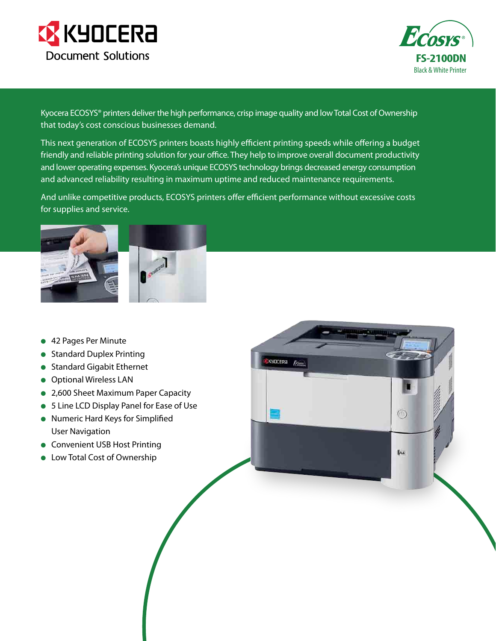



Kyocera ECOSYS® printers deliver the high performance, crisp image quality and low Total Cost of Ownership that today's cost conscious businesses demand.

This next generation of ECOSYS printers boasts highly efficient printing speeds while offering a budget friendly and reliable printing solution for your office. They help to improve overall document productivity and lower operating expenses. Kyocera's unique ECOSYS technology brings decreased energy consumption and advanced reliability resulting in maximum uptime and reduced maintenance requirements.

And unlike competitive products, ECOSYS printers offer efficient performance without excessive costs for supplies and service.



- 42 Pages Per Minute
- **Standard Duplex Printing**
- **Standard Gigabit Ethernet**
- **Optional Wireless LAN**
- 2,600 Sheet Maximum Paper Capacity
- 5 Line LCD Display Panel for Ease of Use
- **Numeric Hard Keys for Simplified** User Navigation
- **Convenient USB Host Printing**
- **•** Low Total Cost of Ownership